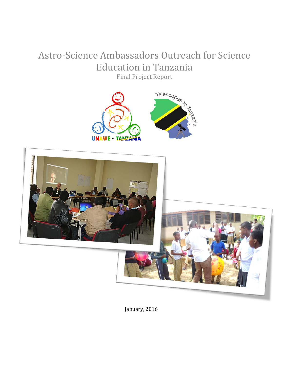# Astro-Science Ambassadors Outreach for Science Education in Tanzania





January, 2016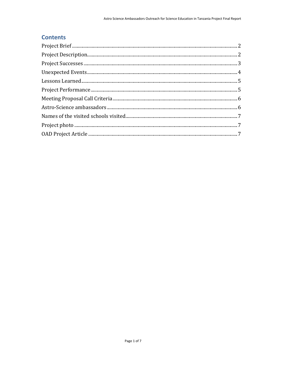#### **Contents**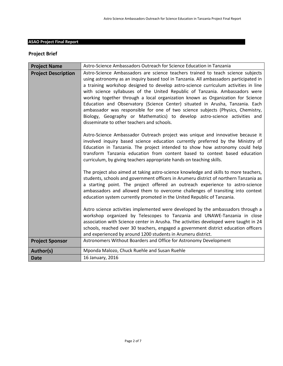#### **ASAO Project Final Report**

#### <span id="page-2-0"></span>**Project Brief**

<span id="page-2-1"></span>

| <b>Project Name</b>        | Astro-Science Ambassadors Outreach for Science Education in Tanzania                                                                                                                                                                                                                                                                                                                                                                                                                                                                                                                                                                                                                                                                |  |  |
|----------------------------|-------------------------------------------------------------------------------------------------------------------------------------------------------------------------------------------------------------------------------------------------------------------------------------------------------------------------------------------------------------------------------------------------------------------------------------------------------------------------------------------------------------------------------------------------------------------------------------------------------------------------------------------------------------------------------------------------------------------------------------|--|--|
| <b>Project Description</b> | Astro-Science Ambassadors are science teachers trained to teach science subjects<br>using astronomy as an inquiry based tool in Tanzania. All ambassadors participated in<br>a training workshop designed to develop astro-science curriculum activities in line<br>with science syllabuses of the United Republic of Tanzania. Ambassadors were<br>working together through a local organization known as Organization for Science<br>Education and Observatory (Science Center) situated in Arusha, Tanzania. Each<br>ambassador was responsible for one of two science subjects (Physics, Chemistry,<br>Biology, Geography or Mathematics) to develop astro-science activities and<br>disseminate to other teachers and schools. |  |  |
|                            | Astro-Science Ambassador Outreach project was unique and innovative because it<br>involved inquiry based science education currently preferred by the Ministry of<br>Education in Tanzania. The project intended to show how astronomy could help<br>transform Tanzania education from content based to context based education<br>curriculum, by giving teachers appropriate hands on teaching skills.                                                                                                                                                                                                                                                                                                                             |  |  |
|                            | The project also aimed at taking astro-science knowledge and skills to more teachers,<br>students, schools and government officers in Arumeru district of northern Tanzania as<br>a starting point. The project offered an outreach experience to astro-science<br>ambassadors and allowed them to overcome challenges of transiting into context<br>education system currently promoted in the United Republic of Tanzania.                                                                                                                                                                                                                                                                                                        |  |  |
|                            | Astro science activities implemented were developed by the ambassadors through a<br>workshop organized by Telescopes to Tanzania and UNAWE-Tanzania in close<br>association with Science center in Arusha. The activities developed were taught in 24<br>schools, reached over 30 teachers, engaged a government district education officers<br>and experienced by around 1200 students in Arumeru district.                                                                                                                                                                                                                                                                                                                        |  |  |
| <b>Project Sponsor</b>     | Astronomers Without Boarders and Office for Astronomy Development                                                                                                                                                                                                                                                                                                                                                                                                                                                                                                                                                                                                                                                                   |  |  |
| Author(s)                  | Mponda Malozo, Chuck Ruehle and Susan Ruehle                                                                                                                                                                                                                                                                                                                                                                                                                                                                                                                                                                                                                                                                                        |  |  |
| <b>Date</b>                | 16 January, 2016                                                                                                                                                                                                                                                                                                                                                                                                                                                                                                                                                                                                                                                                                                                    |  |  |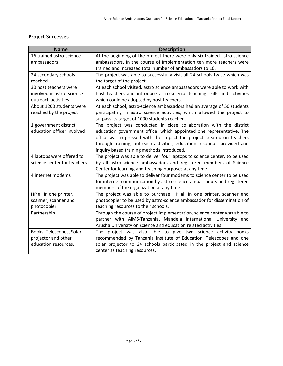# <span id="page-3-0"></span>**Project Successes**

| <b>Name</b>                 | <b>Description</b>                                                         |
|-----------------------------|----------------------------------------------------------------------------|
| 16 trained astro-science    | At the beginning of the project there were only six trained astro-science  |
| ambassadors                 | ambassadors, in the course of implementation ten more teachers were        |
|                             | trained and increased total number of ambassadors to 16.                   |
| 24 secondary schools        | The project was able to successfully visit all 24 schools twice which was  |
| reached                     | the target of the project.                                                 |
| 30 host teachers were       | At each school visited, astro science ambassadors were able to work with   |
| involved in astro- science  | host teachers and introduce astro-science teaching skills and activities   |
| outreach activities         | which could be adopted by host teachers.                                   |
| About 1200 students were    | At each school, astro-science ambassadors had an average of 50 students    |
| reached by the project      | participating in astro science activities, which allowed the project to    |
|                             | surpass its target of 1000 students reached.                               |
| 1 government district       | The project was conducted in close collaboration with the district         |
| education officer involved  | education government office, which appointed one representative. The       |
|                             | office was impressed with the impact the project created on teachers       |
|                             | through training, outreach activities, education resources provided and    |
|                             | inquiry based training methods introduced.                                 |
| 4 laptops were offered to   | The project was able to deliver four laptops to science center, to be used |
| science center for teachers | by all astro-science ambassadors and registered members of Science         |
|                             | Center for learning and teaching purposes at any time.                     |
| 4 internet modems           | The project was able to deliver four modems to science center to be used   |
|                             | for internet communication by astro-science ambassadors and registered     |
|                             | members of the organization at any time.                                   |
| HP all in one printer,      | The project was able to purchase HP all in one printer, scanner and        |
| scanner, scanner and        | photocopier to be used by astro-science ambassador for dissemination of    |
| photocopier                 | teaching resources to their schools.                                       |
| Partnership                 | Through the course of project implementation, science center was able to   |
|                             | partner with AIMS-Tanzania, Mandela International University and           |
|                             | Arusha University on science and education related activities.             |
| Books, Telescopes, Solar    | The project was also able to give two science activity books               |
| projector and other         | recommended by Tanzania Institute of Education, Telescopes and one         |
| education resources.        | solar projector to 24 schools participated in the project and science      |
|                             | center as teaching resources.                                              |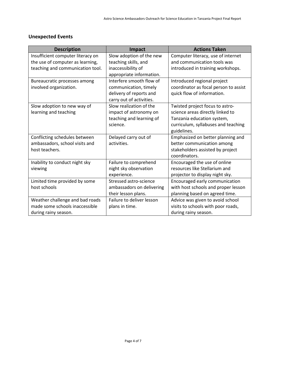# <span id="page-4-0"></span>**Unexpected Events**

| <b>Description</b>                | Impact                    | <b>Actions Taken</b>                  |
|-----------------------------------|---------------------------|---------------------------------------|
| Insufficient computer literacy on | Slow adoption of the new  | Computer literacy, use of internet    |
| the use of computer as learning,  | teaching skills, and      | and communication tools was           |
| teaching and communication tool.  | inaccessibility of        | introduced in training workshops.     |
|                                   | appropriate information.  |                                       |
| Bureaucratic processes among      | Interfere smooth flow of  | Introduced regional project           |
| involved organization.            | communication, timely     | coordinator as focal person to assist |
|                                   | delivery of reports and   | quick flow of information.            |
|                                   | carry out of activities.  |                                       |
| Slow adoption to new way of       | Slow realization of the   | Twisted project focus to astro-       |
| learning and teaching             | impact of astronomy on    | science areas directly linked to      |
|                                   | teaching and learning of  | Tanzania education system,            |
|                                   | science.                  | curriculum, syllabuses and teaching   |
|                                   |                           | guidelines.                           |
| Conflicting schedules between     | Delayed carry out of      | Emphasized on better planning and     |
| ambassadors, school visits and    | activities.               | better communication among            |
| host teachers.                    |                           | stakeholders assisted by project      |
|                                   |                           | coordinators.                         |
| Inability to conduct night sky    | Failure to comprehend     | Encouraged the use of online          |
| viewing                           | night sky observation     | resources like Stellarium and         |
|                                   | experience.               | projector to display night sky.       |
| Limited time provided by some     | Stressed astro-science    | Encouraged early communication        |
| host schools                      | ambassadors on delivering | with host schools and proper lesson   |
|                                   | their lesson plans.       | planning based on agreed time.        |
| Weather challenge and bad roads   | Failure to deliver lesson | Advice was given to avoid school      |
| made some schools inaccessible    | plans in time.            | visits to schools with poor roads,    |
| during rainy season.              |                           | during rainy season.                  |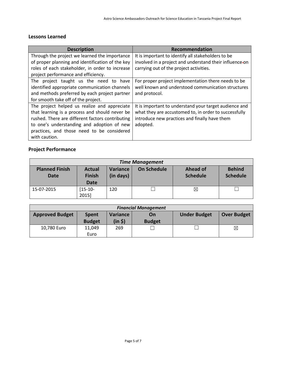#### <span id="page-5-0"></span>**Lessons Learned**

| <b>Description</b>                               | Recommendation                                          |
|--------------------------------------------------|---------------------------------------------------------|
| Through the project we learned the importance    | It is important to identify all stakeholders to be      |
| of proper planning and identification of the key | involved in a project and understand their influence-on |
| roles of each stakeholder, in order to increase  | carrying out of the project activities.                 |
| project performance and efficiency.              |                                                         |
| The project taught us the need to have           | For proper project implementation there needs to be     |
| identified appropriate communication channels    | well known and understood communication structures      |
| and methods preferred by each project partner    | and protocol.                                           |
| for smooth take off of the project.              |                                                         |
| The project helped us realize and appreciate     | It is important to understand your target audience and  |
| that learning is a process and should never be   | what they are accustomed to, in order to successfully   |
| rushed. There are different factors contributing | introduce new practices and finally have them           |
| to one's understanding and adoption of new       | adopted.                                                |
| practices, and those need to be considered       |                                                         |
| with caution.                                    |                                                         |

# <span id="page-5-1"></span>**Project Performance**

| <b>Time Management</b>        |                                        |                       |                    |                                    |                                  |
|-------------------------------|----------------------------------------|-----------------------|--------------------|------------------------------------|----------------------------------|
| <b>Planned Finish</b><br>Date | <b>Actual</b><br><b>Finish</b><br>Date | Variance<br>(in days) | <b>On Schedule</b> | <b>Ahead of</b><br><b>Schedule</b> | <b>Behind</b><br><b>Schedule</b> |
| 15-07-2015                    | $[15-10-$<br>2015]                     | 120                   |                    | $\times$                           |                                  |

| <b>Financial Management</b> |                               |                     |                     |                     |                    |
|-----------------------------|-------------------------------|---------------------|---------------------|---------------------|--------------------|
| <b>Approved Budget</b>      | <b>Spent</b><br><b>Budget</b> | Variance<br>(in \$) | On<br><b>Budget</b> | <b>Under Budget</b> | <b>Over Budget</b> |
| 10,780 Euro                 | 11.049<br>Euro                | 269                 |                     |                     | ⊠                  |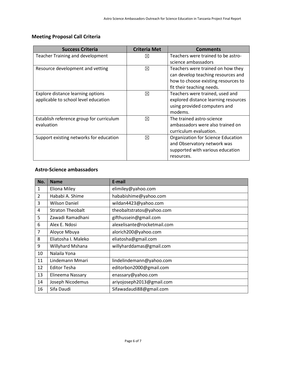# <span id="page-6-0"></span>**Meeting Proposal Call Criteria**

| <b>Success Criteria</b>                  | <b>Criteria Met</b> | <b>Comments</b>                      |
|------------------------------------------|---------------------|--------------------------------------|
| <b>Teacher Training and development</b>  | $\times$            | Teachers were trained to be astro-   |
|                                          |                     | science ambassadors                  |
| Resource development and vetting         | ⊠                   | Teachers were trained on how they    |
|                                          |                     | can develop teaching resources and   |
|                                          |                     | how to choose existing resources to  |
|                                          |                     | fit their teaching needs.            |
| Explore distance learning options        | ⊠                   | Teachers were trained, used and      |
| applicable to school level education     |                     | explored distance learning resources |
|                                          |                     | using provided computers and         |
|                                          |                     | modems.                              |
| Establish reference group for curriculum | ⊠                   | The trained astro-science            |
| evaluation                               |                     | ambassadors were also trained on     |
|                                          |                     | curriculum evaluation.               |
| Support existing networks for education  | ⊠                   | Organization for Science Education   |
|                                          |                     | and Observatory network was          |
|                                          |                     | supported with various education     |
|                                          |                     | resources.                           |

### <span id="page-6-1"></span>**Astro-Science ambassadors**

| No.            | <b>Name</b>             | E-mail                      |
|----------------|-------------------------|-----------------------------|
| 1              | <b>Eliona Miley</b>     | elimiley@yahoo.com          |
| $\overline{2}$ | Hababi A. Shime         | hababishime@yahoo.com       |
| 3              | <b>Wilson Daniel</b>    | wildan4423@yahoo.com        |
| 4              | <b>Straton Theobalt</b> | theobaltstratos@yahoo.com   |
| 5              | Zawadi Ramadhani        | gifthussein@gmail.com       |
| 6              | Alex E. Ndosi           | alexelisante@rocketmail.com |
| $\overline{7}$ | Aloyce Mbuya            | alorich200@yahoo.com        |
| 8              | Eliatosha I. Maleko     | eliatosha@gmail.com         |
| 9              | Willyhard Mshana        | willyharddamas@gmail.com    |
| 10             | Nalaila Yona            |                             |
| 11             | Lindemann Mmari         | lindelindemann@yahoo.com    |
| 12             | <b>Editor Tesha</b>     | editorbon2000@gmail.com     |
| 13             | Elineema Nassary        | enassary@yahoo.com          |
| 14             | Joseph Nicodemus        | ariyojoseph2013@gmail.com   |
| 16             | Sifa Daudi              | Sifawadaudi88@gmail.com     |